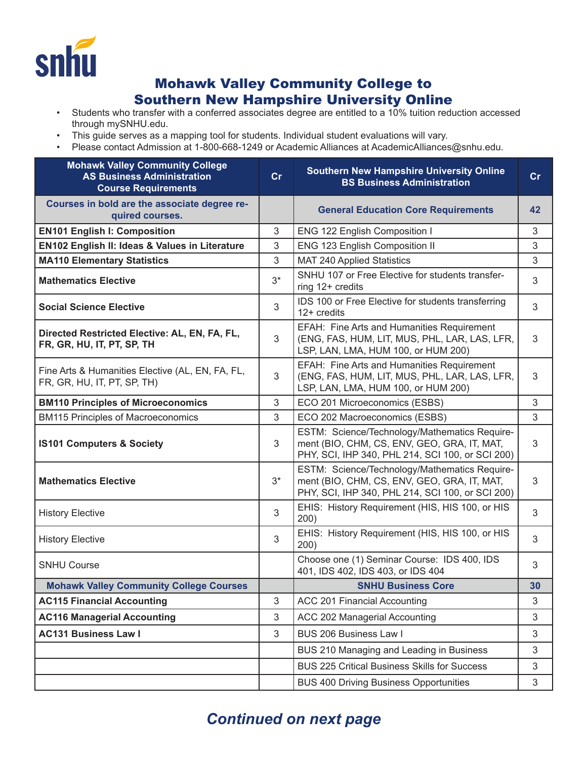

## Mohawk Valley Community College to Southern New Hampshire University Online

- Students who transfer with a conferred associates degree are entitled to a 10% tuition reduction accessed through mySNHU.edu.
- This guide serves as a mapping tool for students. Individual student evaluations will vary.
- Please contact Admission at 1-800-668-1249 or Academic Alliances at AcademicAlliances@snhu.edu.

| <b>Mohawk Valley Community College</b><br><b>AS Business Administration</b><br><b>Course Requirements</b> | cr    | <b>Southern New Hampshire University Online</b><br><b>BS Business Administration</b>                                                             | cr             |
|-----------------------------------------------------------------------------------------------------------|-------|--------------------------------------------------------------------------------------------------------------------------------------------------|----------------|
| Courses in bold are the associate degree re-<br>quired courses.                                           |       | <b>General Education Core Requirements</b>                                                                                                       | 42             |
| <b>EN101 English I: Composition</b>                                                                       | 3     | ENG 122 English Composition I                                                                                                                    | 3              |
| EN102 English II: Ideas & Values in Literature                                                            | 3     | ENG 123 English Composition II                                                                                                                   | 3              |
| <b>MA110 Elementary Statistics</b>                                                                        | 3     | <b>MAT 240 Applied Statistics</b>                                                                                                                | 3              |
| <b>Mathematics Elective</b>                                                                               | $3^*$ | SNHU 107 or Free Elective for students transfer-<br>ring 12+ credits                                                                             | 3              |
| <b>Social Science Elective</b>                                                                            | 3     | IDS 100 or Free Elective for students transferring<br>$12+$ credits                                                                              | 3              |
| Directed Restricted Elective: AL, EN, FA, FL,<br>FR, GR, HU, IT, PT, SP, TH                               | 3     | EFAH: Fine Arts and Humanities Requirement<br>(ENG, FAS, HUM, LIT, MUS, PHL, LAR, LAS, LFR,<br>LSP, LAN, LMA, HUM 100, or HUM 200)               | 3              |
| Fine Arts & Humanities Elective (AL, EN, FA, FL,<br>FR, GR, HU, IT, PT, SP, TH)                           | 3     | EFAH: Fine Arts and Humanities Requirement<br>(ENG, FAS, HUM, LIT, MUS, PHL, LAR, LAS, LFR,<br>LSP, LAN, LMA, HUM 100, or HUM 200)               | 3              |
| <b>BM110 Principles of Microeconomics</b>                                                                 | 3     | ECO 201 Microeconomics (ESBS)                                                                                                                    | 3              |
| <b>BM115 Principles of Macroeconomics</b>                                                                 | 3     | ECO 202 Macroeconomics (ESBS)                                                                                                                    | 3              |
| <b>IS101 Computers &amp; Society</b>                                                                      | 3     | ESTM: Science/Technology/Mathematics Require-<br>ment (BIO, CHM, CS, ENV, GEO, GRA, IT, MAT,<br>PHY, SCI, IHP 340, PHL 214, SCI 100, or SCI 200) | $\mathfrak{Z}$ |
| <b>Mathematics Elective</b>                                                                               | $3^*$ | ESTM: Science/Technology/Mathematics Require-<br>ment (BIO, CHM, CS, ENV, GEO, GRA, IT, MAT,<br>PHY, SCI, IHP 340, PHL 214, SCI 100, or SCI 200) | 3              |
| <b>History Elective</b>                                                                                   | 3     | EHIS: History Requirement (HIS, HIS 100, or HIS<br>200)                                                                                          | 3              |
| <b>History Elective</b>                                                                                   | 3     | EHIS: History Requirement (HIS, HIS 100, or HIS<br>200)                                                                                          | 3              |
| <b>SNHU Course</b>                                                                                        |       | Choose one (1) Seminar Course: IDS 400, IDS<br>401, IDS 402, IDS 403, or IDS 404                                                                 | 3              |
| <b>Mohawk Valley Community College Courses</b>                                                            |       | <b>SNHU Business Core</b>                                                                                                                        | 30             |
| <b>AC115 Financial Accounting</b>                                                                         | 3     | ACC 201 Financial Accounting                                                                                                                     | 3              |
| <b>AC116 Managerial Accounting</b>                                                                        | 3     | ACC 202 Managerial Accounting                                                                                                                    | 3              |
| <b>AC131 Business Law I</b>                                                                               | 3     | BUS 206 Business Law I                                                                                                                           | 3              |
|                                                                                                           |       | BUS 210 Managing and Leading in Business                                                                                                         | 3              |
|                                                                                                           |       | <b>BUS 225 Critical Business Skills for Success</b>                                                                                              | 3              |
|                                                                                                           |       | <b>BUS 400 Driving Business Opportunities</b>                                                                                                    | 3              |

## *Continued on next page*